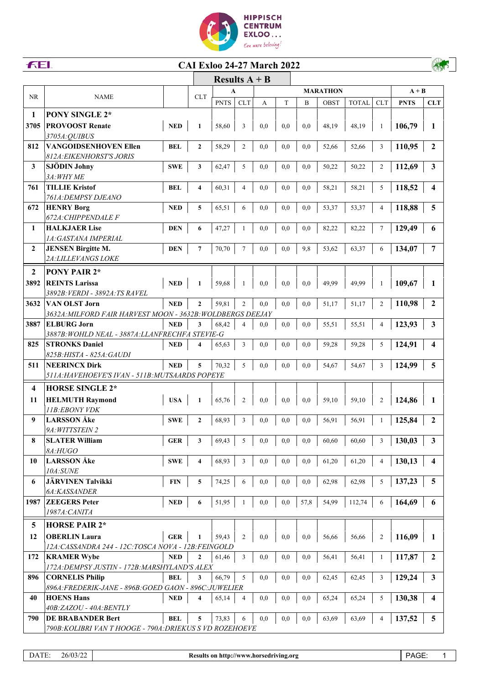



## **CAI Exloo 24-27 March 2022**

|                         |                                                                            |            | Results $A + B$         |             |                |     |     |      |                 |              |                |             |                         |
|-------------------------|----------------------------------------------------------------------------|------------|-------------------------|-------------|----------------|-----|-----|------|-----------------|--------------|----------------|-------------|-------------------------|
|                         |                                                                            |            |                         | A           |                |     |     |      | <b>MARATHON</b> |              |                | $A + B$     |                         |
| NR                      | <b>NAME</b>                                                                |            | <b>CLT</b>              | <b>PNTS</b> | <b>CLT</b>     | A   | T   | B    | OBST            | <b>TOTAL</b> | <b>CLT</b>     | <b>PNTS</b> | <b>CLT</b>              |
| 1                       | <b>PONY SINGLE 2*</b>                                                      |            |                         |             |                |     |     |      |                 |              |                |             |                         |
| 3705                    | <b>PROVOOST Renate</b>                                                     | <b>NED</b> | $\mathbf{1}$            | 58,60       | 3              | 0.0 | 0,0 | 0.0  | 48,19           | 48,19        | 1              | 106,79      | 1                       |
|                         | 3705A: QUIBUS                                                              |            |                         |             |                |     |     |      |                 |              |                |             |                         |
| 812                     | <b>VANGOIDSENHOVEN Ellen</b>                                               | <b>BEL</b> | $\overline{2}$          | 58,29       | $\overline{c}$ | 0,0 | 0,0 | 0,0  | 52,66           | 52,66        | 3              | 110,95      | $\overline{2}$          |
|                         | <i>812A: EIKENHORST'S JORIS</i>                                            |            |                         |             |                |     |     |      |                 |              |                |             |                         |
| 3                       | <b>SJÖDIN Johny</b>                                                        | <b>SWE</b> | 3                       | 62,47       | 5              | 0,0 | 0,0 | 0,0  | 50,22           | 50,22        | $\overline{2}$ | 112,69      | 3                       |
|                         | 3A: WHY ME                                                                 |            |                         |             |                |     |     |      |                 |              |                |             |                         |
| 761                     | <b>TILLIE Kristof</b><br>761A: DEMPSY DJEANO                               | <b>BEL</b> | 4                       | 60,31       | 4              | 0,0 | 0,0 | 0.0  | 58,21           | 58,21        | 5              | 118,52      | 4                       |
| 672                     | <b>HENRY Borg</b>                                                          | <b>NED</b> | 5                       | 65,51       | 6              | 0,0 | 0,0 | 0,0  | 53,37           | 53,37        | $\overline{4}$ | 118,88      | 5                       |
|                         | 672A: CHIPPENDALE F                                                        |            |                         |             |                |     |     |      |                 |              |                |             |                         |
| 1                       | <b>HALKJAER Lise</b>                                                       | <b>DEN</b> | 6                       | 47,27       | 1              | 0,0 | 0,0 | 0,0  | 82,22           | 82,22        | $\tau$         | 129,49      | 6                       |
|                         | 1A: GASTANA IMPERIAL                                                       |            |                         |             |                |     |     |      |                 |              |                |             |                         |
| $\mathbf{2}$            | <b>JENSEN Birgitte M.</b>                                                  | <b>DEN</b> | $7\phantom{.0}$         | 70,70       | 7              | 0,0 | 0,0 | 9,8  | 53,62           | 63,37        | 6              | 134,07      | 7                       |
|                         | 2A: LILLEVANGS LOKE                                                        |            |                         |             |                |     |     |      |                 |              |                |             |                         |
| $\overline{2}$          | <b>PONY PAIR 2*</b>                                                        |            |                         |             |                |     |     |      |                 |              |                |             |                         |
| 3892                    | <b>REINTS Larissa</b>                                                      | <b>NED</b> | $\mathbf{1}$            | 59,68       | 1              | 0.0 | 0,0 | 0,0  | 49,99           | 49,99        | 1              | 109,67      | 1                       |
|                         | 3892B: VERDI - 3892A: TS RAVEL                                             |            |                         |             |                |     |     |      |                 |              |                |             |                         |
| 3632                    | <b>VAN OLST Jorn</b>                                                       | <b>NED</b> | $\mathbf{2}$            | 59,81       | $\mathfrak{2}$ | 0,0 | 0,0 | 0,0  | 51,17           | 51,17        | $\overline{2}$ | 110,98      | $\boldsymbol{2}$        |
|                         | 3632A: MILFORD FAIR HARVEST MOON - 3632B: WOLDBERGS DEEJAY                 |            |                         |             |                |     |     |      |                 |              |                |             |                         |
| 3887                    | <b>ELBURG Jorn</b>                                                         | <b>NED</b> | 3                       | 68,42       | 4              | 0.0 | 0,0 | 0,0  | 55,51           | 55,51        | $\overline{4}$ | 123,93      | $\mathbf{3}$            |
|                         | 3887B: WOHLD NEAL - 3887A: LLANFRECHFA STEVIE-G                            |            |                         |             |                |     |     |      |                 |              |                |             |                         |
| 825                     | <b>STRONKS Daniel</b>                                                      | <b>NED</b> | 4                       | 65,63       | 3              | 0,0 | 0,0 | 0,0  | 59,28           | 59,28        | 5              | 124,91      | 4                       |
| 511                     | 825B:HISTA - 825A:GAUDI<br><b>NEERINCX Dirk</b>                            | <b>NED</b> | 5                       | 70,32       | 5              | 0.0 | 0,0 | 0,0  | 54,67           | 54,67        | 3              | 124,99      | 5                       |
|                         | 511A: HAVEHOEVE'S IVAN - 511B: MUTSAARDS POPEYE                            |            |                         |             |                |     |     |      |                 |              |                |             |                         |
| $\overline{\mathbf{4}}$ | <b>HORSE SINGLE 2*</b>                                                     |            |                         |             |                |     |     |      |                 |              |                |             |                         |
|                         | <b>HELMUTH Raymond</b>                                                     |            |                         |             |                |     |     |      |                 |              |                |             | 1                       |
| 11                      | <b>11B:EBONY VDK</b>                                                       | <b>USA</b> | 1                       | 65,76       | $\overline{c}$ | 0.0 | 0,0 | 0.0  | 59,10           | 59,10        | $\overline{2}$ | 124,86      |                         |
| 9                       | <b>LARSSON</b> Åke                                                         | <b>SWE</b> | $\boldsymbol{2}$        | 68,93       | 3              | 0,0 | 0,0 | 0,0  | 56,91           | 56,91        |                | 125,84      | $\mathbf{2}$            |
|                         | 9A: WITTSTEIN 2                                                            |            |                         |             |                |     |     |      |                 |              |                |             |                         |
| 8                       | <b>SLATER William</b>                                                      | <b>GER</b> | 3                       | 69,43       | 5              | 0,0 | 0,0 | 0,0  | 60,60           | 60,60        | 3              | 130,03      | 3                       |
|                         | 8A:HUGO                                                                    |            |                         |             |                |     |     |      |                 |              |                |             |                         |
| 10                      | <b>LARSSON</b> Åke                                                         | <b>SWE</b> | 4                       | 68,93       | 3              | 0,0 | 0,0 | 0,0  | 61,20           | 61,20        | $\overline{4}$ | 130,13      | $\overline{\mathbf{4}}$ |
|                         | 10A:SUNE                                                                   |            |                         |             |                |     |     |      |                 |              |                |             |                         |
| 6                       | <b>JÄRVINEN Talvikki</b>                                                   | <b>FIN</b> | 5                       | 74,25       | 6              | 0,0 | 0,0 | 0,0  | 62,98           | 62,98        | 5              | 137,23      | 5                       |
|                         | 6A:KASSANDER                                                               |            |                         |             |                |     |     |      |                 |              |                |             |                         |
| 1987                    | <b>ZEEGERS</b> Peter<br>1987A: CANITA                                      | <b>NED</b> | 6                       | 51,95       | 1              | 0,0 | 0,0 | 57,8 | 54,99           | 112,74       | 6              | 164,69      | 6                       |
|                         |                                                                            |            |                         |             |                |     |     |      |                 |              |                |             |                         |
| 5                       | <b>HORSE PAIR 2*</b>                                                       |            |                         |             |                |     |     |      |                 |              |                |             |                         |
| 12                      | <b>OBERLIN Laura</b>                                                       | <b>GER</b> | 1                       | 59,43       | 2              | 0.0 | 0,0 | 0,0  | 56,66           | 56,66        | 2              | 116,09      | 1                       |
| 172                     | 12A: CASSANDRA 244 - 12C: TOSCA NOVA - 12B: FEINGOLD<br><b>KRAMER Wybe</b> | <b>NED</b> | $\mathbf{2}$            | 61,46       | 3              | 0,0 | 0,0 | 0,0  | 56,41           | 56,41        | 1              | 117,87      | $\overline{2}$          |
|                         | 172A: DEMPSY JUSTIN - 172B: MARSHYLAND'S ALEX                              |            |                         |             |                |     |     |      |                 |              |                |             |                         |
| 896                     | <b>CORNELIS Philip</b>                                                     | <b>BEL</b> | 3                       | 66,79       | 5              | 0,0 | 0,0 | 0,0  | 62,45           | 62,45        | 3              | 129,24      | $\mathbf{3}$            |
|                         | 896A: FREDERIK-JANE - 896B: GOED GAON - 896C: JUWELIER                     |            |                         |             |                |     |     |      |                 |              |                |             |                         |
| 40                      | <b>HOENS Hans</b>                                                          | <b>NED</b> | $\overline{\mathbf{4}}$ | 65,14       | 4              | 0,0 | 0,0 | 0,0  | 65,24           | 65,24        | 5              | 130,38      | $\overline{\mathbf{4}}$ |
|                         | 40B: ZAZOU - 40A: BENTLY                                                   |            |                         |             |                |     |     |      |                 |              |                |             |                         |
| 790                     | <b>DE BRABANDER Bert</b>                                                   | <b>BEL</b> | 5                       | 73,83       | 6              | 0,0 | 0,0 | 0,0  | 63,69           | 63,69        | 4              | 137,52      | 5                       |
|                         | 790B: KOLIBRI VAN T HOOGE - 790A: DRIEKUS S VD ROZEHOEVE                   |            |                         |             |                |     |     |      |                 |              |                |             |                         |

AND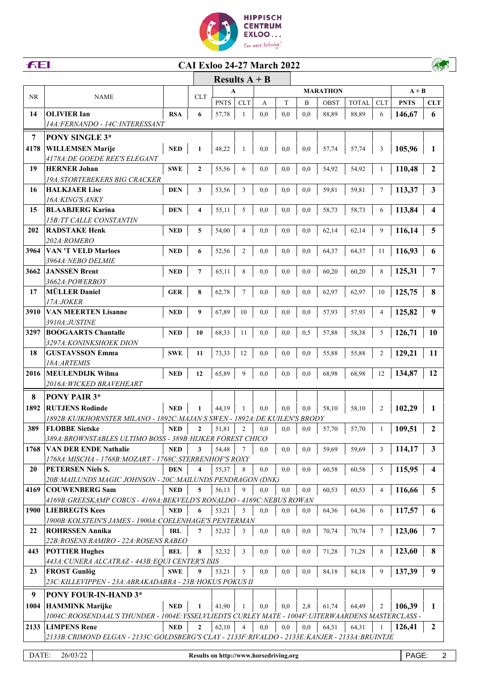



## **CAI Exloo 24-27 March 2022**



|           |                                                                                                 |            |                  | Results $A + B$ |                |     |     |                 |             |              |                |             |              |
|-----------|-------------------------------------------------------------------------------------------------|------------|------------------|-----------------|----------------|-----|-----|-----------------|-------------|--------------|----------------|-------------|--------------|
| <b>NR</b> | <b>NAME</b>                                                                                     | <b>CLT</b> | A                |                 |                |     |     | <b>MARATHON</b> | $A + B$     |              |                |             |              |
|           |                                                                                                 |            |                  | <b>PNTS</b>     | <b>CLT</b>     | А   | T   | B               | <b>OBST</b> | <b>TOTAL</b> | <b>CLT</b>     | <b>PNTS</b> | <b>CLT</b>   |
| 14        | <b>OLIVIER Ian</b>                                                                              | <b>RSA</b> | 6                | 57,78           | 1              | 0.0 | 0.0 | 0.0             | 88,89       | 88,89        | 6              | 146,67      | 6            |
|           | <i>14A:FERNANDO - 14C:INTERESSANT</i>                                                           |            |                  |                 |                |     |     |                 |             |              |                |             |              |
| 7         | <b>PONY SINGLE 3*</b>                                                                           |            |                  |                 |                |     |     |                 |             |              |                |             |              |
| 4178      | <b>WILLEMSEN Marije</b>                                                                         | <b>NED</b> | 1                | 48,22           | 1              | 0,0 | 0.0 | 0.0             | 57,74       | 57,74        | 3              | 105,96      | 1            |
|           | <i>4178A:DE GOEDE REE'S ELEGANT</i>                                                             |            |                  |                 |                |     |     |                 |             |              |                |             |              |
| 19        | <b>HERNER Johan</b>                                                                             | <b>SWE</b> | $\boldsymbol{2}$ | 55,56           | 6              | 0,0 | 0,0 | 0.0             | 54,92       | 54,92        | 1              | 110,48      | $\mathbf{2}$ |
|           | <b>19A:STORTEBEKERS BIG CRACKER</b>                                                             |            |                  |                 |                |     |     |                 |             |              |                |             |              |
| 16        | <b>HALKJAER Lise</b>                                                                            | <b>DEN</b> | 3                | 53,56           | 3              | 0,0 | 0,0 | 0.0             | 59,81       | 59,81        | $\tau$         | 113,37      | 3            |
|           | 16A: KING'S ANKY                                                                                |            |                  |                 |                |     |     |                 |             |              |                |             |              |
| 15        | <b>BLAABJERG Karina</b>                                                                         | <b>DEN</b> | 4                | 55,11           | 5              | 0,0 | 0,0 | 0,0             | 58,73       | 58,73        | 6              | 113,84      | 4            |
|           | <b>15B: TT CALLE CONSTANTIN</b>                                                                 |            |                  |                 |                |     |     |                 |             |              |                |             |              |
| 202       | <b>RADSTAKE Henk</b>                                                                            | <b>NED</b> | 5                | 54,00           | 4              | 0,0 | 0,0 | 0.0             | 62,14       | 62,14        | 9              | 116,14      | 5            |
|           | 202A:ROMERO                                                                                     |            |                  |                 |                |     |     |                 |             |              |                |             |              |
| 3964      | <b>VAN 'T VELD Marloes</b>                                                                      | <b>NED</b> | 6                | 52,56           | $\overline{2}$ | 0.0 | 0,0 | 0,0             | 64,37       | 64,37        | 11             | 116,93      | 6            |
| 3662      | 3964A: NEBO DELMIE<br><b>JANSSEN Brent</b>                                                      | <b>NED</b> | $\overline{7}$   | 65,11           | 8              | 0.0 | 0.0 | 0.0             | 60,20       | 60,20        | 8              | 125,31      | 7            |
|           | 3662A:POWERBOY                                                                                  |            |                  |                 |                |     |     |                 |             |              |                |             |              |
| 17        | <b>MÜLLER Daniel</b>                                                                            | <b>GER</b> | 8                | 62,78           | 7              | 0.0 | 0,0 | 0.0             | 62,97       | 62,97        | 10             | 125,75      | 8            |
|           | 17A:JOKER                                                                                       |            |                  |                 |                |     |     |                 |             |              |                |             |              |
| 3910      | <b>VAN MEERTEN Lisanne</b>                                                                      | <b>NED</b> | 9                | 67,89           | 10             | 0.0 | 0.0 | 0.0             | 57,93       | 57,93        | $\overline{4}$ | 125,82      | 9            |
|           | <i>3910A:JUSTINE</i>                                                                            |            |                  |                 |                |     |     |                 |             |              |                |             |              |
| 3297      | <b>BOOGAARTS Chantalle</b>                                                                      | <b>NED</b> | 10               | 68,33           | 11             | 0.0 | 0,0 | 0.5             | 57,88       | 58,38        | 5              | 126,71      | <b>10</b>    |
|           | <i>3297A:KONINKSHOEK DION</i>                                                                   |            |                  |                 |                |     |     |                 |             |              |                |             |              |
| 18        | <b>GUSTAVSSON Emma</b>                                                                          | <b>SWE</b> | 11               | 73,33           | 12             | 0,0 | 0,0 | 0.0             | 55,88       | 55,88        | $\sqrt{2}$     | 129,21      | 11           |
|           | <i>18A:ARTEMIS</i>                                                                              |            |                  |                 |                |     |     |                 |             |              |                |             |              |
| 2016      | <b>MEULENDIJK Wilma</b>                                                                         | <b>NED</b> | 12               | 65,89           | 9              | 0.0 | 0.0 | 0.0             | 68,98       | 68,98        | 12             | 134,87      | 12           |
|           | 2016A: WICKED BRAVEHEART                                                                        |            |                  |                 |                |     |     |                 |             |              |                |             |              |
| 8         | PONY PAIR 3*                                                                                    |            |                  |                 |                |     |     |                 |             |              |                |             |              |
| 1892      | <b>RUTJENS Rodinde</b>                                                                          | <b>NED</b> | 1                | 44,19           | 1              | 0.0 | 0,0 | 0,0             | 58,10       | 58,10        | $\overline{2}$ | 102,29      | 1            |
|           | 1892B: KUIKHORNSTER MILANO - 1892C: MAJAN S SWEN - 1892A: DE KUILEN'S BRODY                     |            |                  |                 |                |     |     |                 |             |              |                |             |              |
| 389       | <b>FLOBBE Sietske</b>                                                                           | <b>NED</b> | $\mathbf{2}$     | 51,81           | $\overline{2}$ | 0.0 | 0.0 | 0,0             | 57,70       | 57,70        | 1              | 109,51      | $\mathbf{2}$ |
|           | 389A: BROWNSTABLES ULTIMO BOSS - 389B: HIJKER FOREST CHICO                                      |            |                  |                 |                |     |     |                 |             |              |                |             |              |
| 1768      | <b>VAN DER ENDE Nathalie</b>                                                                    | <b>NED</b> | 3                | 54,48           | 7              | 0,0 | 0,0 | 0,0             | 59,69       | 59,69        | 3              | 114,17      | 3            |
|           | 1768A: MISCHA - 1768B: MOZART - 1768C: STERRENHOF'S ROXY                                        |            |                  |                 |                |     |     |                 |             |              |                |             |              |
| 20        | PETERSEN Niels S.                                                                               | <b>DEN</b> | 4                | 55,37           | 8              | 0,0 | 0,0 | 0,0             | 60,58       | 60,58        | 5              | 115,95      | 4            |
|           | 20B: MAILUNDS MAGIC JOHNSON - 20C: MAILUNDS PENDRAGON (DNK)                                     |            |                  |                 |                |     |     |                 |             |              |                |             |              |
| 4169      | <b>COUWENBERG Sam</b>                                                                           | <b>NED</b> | 5                | 56,13           | 9              | 0,0 | 0,0 | 0,0             | 60,53       | 60,53        | $\overline{4}$ | 116,66      | 5            |
|           | 4169B: GREESKAMP COBUS - 4169A: BEKVELD'S RONALDO - 4169C: NEBUS ROWAN                          |            |                  |                 |                |     |     |                 |             |              |                |             |              |
| 1900      | <b>LIEBREGTS Kees</b>                                                                           | <b>NED</b> | 6                | 53,21           | 5              | 0,0 | 0,0 | 0,0             | 64,36       | 64,36        | 6              | 117,57      | 6            |
|           | 1900B: KOLSTEIN'S JAMES - 1900A: COELENHAGE'S PENTERMAN                                         |            |                  |                 |                |     |     |                 |             |              |                |             |              |
| 22        | <b>ROHRSSEN Annika</b>                                                                          | IRL        | 7                | 52,32           | 3              | 0,0 | 0,0 | 0,0             | 70,74       | 70,74        | $\tau$         | 123,06      | 7            |
|           | 22B: ROSENS RAMIRO - 22A: ROSENS RABEO                                                          |            |                  |                 |                |     |     |                 |             |              |                |             |              |
| 443       | <b>POTTIER Hughes</b>                                                                           | BEL        | 8                | 52,32           | 3              | 0,0 | 0,0 | 0,0             | 71,28       | 71,28        | 8              | 123,60      | 8            |
|           | 443A: CUNERA ALCATRAZ - 443B: EQUI CENTER'S ISIS                                                |            |                  |                 |                |     |     |                 |             |              |                |             |              |
| 23        | <b>FROST Gunlög</b>                                                                             | <b>SWE</b> | 9                | 53,21           | 5              | 0,0 | 0,0 | 0,0             | 84,18       | 84,18        | 9              | 137,39      | 9            |
|           | 23C: KILLEVIPPEN - 23A: ABRAKADABRA - 23B: HOKUS POKUS II                                       |            |                  |                 |                |     |     |                 |             |              |                |             |              |
| 9         | <b>PONY FOUR-IN-HAND 3*</b>                                                                     |            |                  |                 |                |     |     |                 |             |              |                |             |              |
|           | <b>HAMMINK Marijke</b>                                                                          | <b>NED</b> | 1                | 41,90           | 1              | 0,0 | 0,0 | 2,8             | 61,74       | 64,49        | 2              | 106,39      | 1            |
| 1004      |                                                                                                 |            |                  |                 |                |     |     |                 |             |              |                |             |              |
|           | 1004C:ROOSENDAAL'S THUNDER - 1004E:YSSELVLIEDTS CURLEY MATE - 1004F:UITERWAARDENS MASTERCLASS - |            |                  |                 |                |     |     |                 |             |              |                |             |              |
| 2133      | <b>LIMPENS Rene</b>                                                                             | <b>NED</b> | $\overline{2}$   | 62,10           | $\overline{4}$ | 0,0 | 0,0 | 0,0             | 64,31       | 64,31        |                | 126,41      | 2            |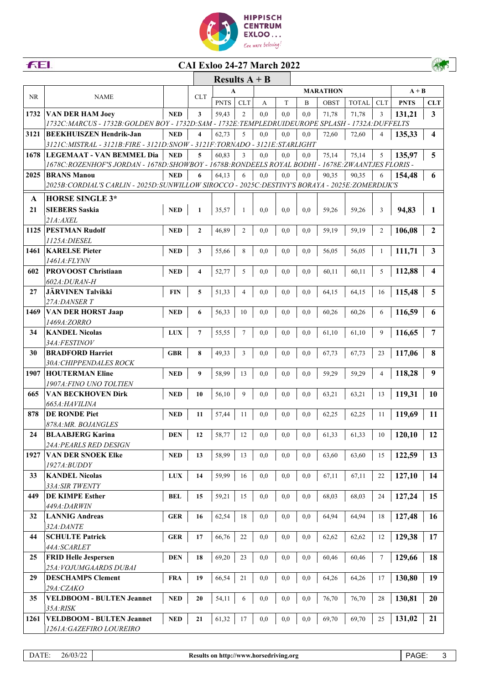

## **CAI Exloo 24-27 March 2022**

|           |                                                                                                   |            | Results $A + B$  |              |                |     |          |                |                 |              |                |             |                         |
|-----------|---------------------------------------------------------------------------------------------------|------------|------------------|--------------|----------------|-----|----------|----------------|-----------------|--------------|----------------|-------------|-------------------------|
|           |                                                                                                   |            |                  | $\mathbf{A}$ |                |     |          |                | <b>MARATHON</b> |              |                | $A + B$     |                         |
| <b>NR</b> | <b>NAME</b>                                                                                       |            | <b>CLT</b>       | <b>PNTS</b>  | <b>CLT</b>     | A   | T        | $\overline{B}$ | OBST            | <b>TOTAL</b> | <b>CLT</b>     | <b>PNTS</b> | <b>CLT</b>              |
| 1732      | VAN DER HAM Joey                                                                                  | <b>NED</b> | 3                | 59,43        | 2              | 0.0 | 0,0      | 0,0            | 71,78           | 71,78        | 3              | 131,21      | 3                       |
|           | 1732C:MARCUS - 1732B: GOLDEN BOY - 1732D:SAM - 1732E:TEMPLEDRUIDEUROPE SPLASH - 1732A:DUFFELTS    |            |                  |              |                |     |          |                |                 |              |                |             |                         |
| 3121      | <b>BEEKHUISZEN Hendrik-Jan</b>                                                                    | <b>NED</b> | 4                | 62,73        | 5              | 0.0 | 0.0      | 0.0            | 72,60           | 72,60        | 4              | 135,33      | $\overline{\mathbf{4}}$ |
|           | 3121C: MISTRAL - 3121B: FIRE - 3121D: SNOW - 3121F: TORNADO - 3121E: STARLIGHT                    |            |                  |              |                |     |          |                |                 |              |                |             |                         |
| 1678      | LEGEMAAT - VAN BEMMEL Dia                                                                         | <b>NED</b> | 5                | 60,83        | 3              | 0.0 | 0,0      | 0,0            | 75,14           | 75,14        | 5              | 135,97      | 5                       |
|           | 1678C:ROZENHOF'S JORDAN - 1678D:SHOWBOY - 1678B:RONDEELS ROYAL BODHI - 1678E:ZWAANTJES FLORIS -   |            |                  |              |                |     |          |                |                 |              |                |             |                         |
| 2025      | <b>BRANS Manou</b>                                                                                | <b>NED</b> | 6                | 64,13        | 6              | 0,0 | 0.0      | 0,0            | 90,35           | 90,35        | 6              | 154,48      | 6                       |
|           | 2025B: CORDIAL'S CARLIN - 2025D: SUNWILLOW SIROCCO - 2025C: DESTINY'S BORAYA - 2025E: ZOMERDIJK'S |            |                  |              |                |     |          |                |                 |              |                |             |                         |
| A         | <b>HORSE SINGLE 3*</b>                                                                            |            |                  |              |                |     |          |                |                 |              |                |             |                         |
| 21        | <b>SIEBERS Saskia</b>                                                                             | <b>NED</b> | $\mathbf{1}$     | 35,57        | 1              | 0,0 | 0,0      | 0,0            | 59,26           | 59,26        | 3              | 94,83       | 1                       |
|           | 21A: AXEL                                                                                         |            |                  |              |                |     |          |                |                 |              |                |             |                         |
| 1125      | <b>PESTMAN Rudolf</b>                                                                             | <b>NED</b> | $\boldsymbol{2}$ | 46,89        | $\overline{2}$ | 0,0 | 0,0      | 0,0            | 59,19           | 59,19        | 2              | 106,08      | $\mathbf{2}$            |
|           | 1125A: DIESEL                                                                                     |            |                  |              |                |     |          |                |                 |              |                |             |                         |
| 1461      | <b>KARELSE Pieter</b>                                                                             | <b>NED</b> | 3                | 55,66        | 8              | 0,0 | 0,0      | 0,0            | 56,05           | 56,05        | 1              | 111,71      | $\mathbf{3}$            |
|           | 1461A: FLYNN                                                                                      |            |                  |              |                |     |          |                |                 |              |                |             |                         |
| 602       | <b>PROVOOST Christiaan</b>                                                                        | <b>NED</b> | 4                | 52,77        | 5              | 0,0 | 0,0      | 0,0            | 60,11           | 60,11        | 5              | 112,88      | $\overline{\mathbf{4}}$ |
|           | 602A:DURAN-H                                                                                      |            |                  |              |                |     |          |                |                 |              |                |             |                         |
| 27        | <b>JÄRVINEN Talvikki</b>                                                                          | <b>FIN</b> | 5                | 51,33        | 4              | 0,0 | 0,0      | 0,0            | 64,15           | 64,15        | 16             | 115,48      | 5                       |
|           | 27A:DANSER T                                                                                      |            |                  |              |                |     |          |                |                 |              |                |             |                         |
| 1469      | <b>VAN DER HORST Jaap</b><br>1469A:ZORRO                                                          | <b>NED</b> | 6                | 56,33        | 10             | 0,0 | 0,0      | 0,0            | 60,26           | 60,26        | 6              | 116,59      | 6                       |
| 34        | <b>KANDEL Nicolas</b>                                                                             | <b>LUX</b> | 7                |              | 7              | 0,0 | 0,0      | 0,0            | 61,10           | 61,10        | 9              | 116,65      | 7                       |
|           | 34A:FESTINOV                                                                                      |            |                  | 55,55        |                |     |          |                |                 |              |                |             |                         |
| 30        | <b>BRADFORD Harriet</b>                                                                           | <b>GBR</b> | 8                | 49,33        | 3              | 0,0 | 0,0      | 0,0            | 67,73           | 67,73        | 23             | 117,06      | 8                       |
|           | 30A: CHIPPENDALES ROCK                                                                            |            |                  |              |                |     |          |                |                 |              |                |             |                         |
| 1907      | <b>HOUTERMAN Eline</b>                                                                            | <b>NED</b> | 9                | 58,99        | 13             | 0,0 | 0,0      | 0,0            | 59,29           | 59,29        | $\overline{4}$ | 118,28      | 9                       |
|           | 1907A: FINO UNO TOLTIEN                                                                           |            |                  |              |                |     |          |                |                 |              |                |             |                         |
| 665       | <b>VAN BECKHOVEN Dirk</b>                                                                         | <b>NED</b> | 10               | 56,10        | 9              | 0,0 | 0,0      | 0,0            | 63,21           | 63,21        | 13             | 119,31      | 10                      |
|           | 665A:HAVILINA                                                                                     |            |                  |              |                |     |          |                |                 |              |                |             |                         |
| 878       | <b>DE RONDE Piet</b>                                                                              | <b>NED</b> | 11               | 57,44        | 11             | 0,0 | 0,0      | 0,0            | 62,25           | 62,25        | 11             | 119,69      | 11                      |
|           | 878A: MR. BOJANGLES                                                                               |            |                  |              |                |     |          |                |                 |              |                |             |                         |
| 24        | <b>BLAABJERG Karina</b>                                                                           | <b>DEN</b> | 12               | 58,77        | 12             | 0,0 | 0,0      | 0,0            | 61,33           | 61,33        | 10             | 120,10      | 12                      |
|           | 24A: PEARLS RED DESIGN                                                                            |            |                  |              |                |     |          |                |                 |              |                |             |                         |
| 1927      | <b>VAN DER SNOEK Elke</b>                                                                         | <b>NED</b> | 13               | 58,99        | 13             | 0,0 | 0,0      | 0,0            | 63,60           | 63,60        | 15             | 122,59      | 13                      |
|           | 1927A:BUDDY                                                                                       |            |                  |              |                |     |          |                |                 |              |                |             |                         |
| 33        | <b>KANDEL Nicolas</b>                                                                             | <b>LUX</b> | 14               | 59,99        | 16             | 0,0 | 0,0      | $_{0,0}$       | 67,11           | 67,11        | 22             | 127,10      | 14                      |
|           | 33A: SIR TWENTY                                                                                   |            |                  |              |                |     |          |                |                 |              |                |             |                         |
| 449       | DE KIMPE Esther<br>449A:DARWIN                                                                    | <b>BEL</b> | 15               | 59,21        | 15             | 0,0 | 0,0      | 0,0            | 68,03           | 68,03        | 24             | 127,24      | 15                      |
| 32        | <b>LANNIG Andreas</b>                                                                             | <b>GER</b> | 16               | 62,54        | 18             | 0,0 | 0,0      | 0,0            | 64,94           | 64,94        | 18             | 127,48      | 16                      |
|           | 32A:DANTE                                                                                         |            |                  |              |                |     |          |                |                 |              |                |             |                         |
| 44        | <b>SCHULTE Patrick</b>                                                                            | <b>GER</b> | 17               | 66,76        | 22             | 0,0 | 0,0      | 0,0            | 62,62           | 62,62        | 12             | 129,38      | 17                      |
|           | 44A:SCARLET                                                                                       |            |                  |              |                |     |          |                |                 |              |                |             |                         |
| 25        | <b>FRID Helle Jespersen</b>                                                                       | <b>DEN</b> | 18               | 69,20        | 23             | 0,0 | $_{0,0}$ | 0,0            | 60,46           | 60,46        | $\tau$         | 129,66      | 18                      |
|           | 25A: VOJUMGAARDS DUBAI                                                                            |            |                  |              |                |     |          |                |                 |              |                |             |                         |
| 29        | <b>DESCHAMPS Clement</b>                                                                          | <b>FRA</b> | 19               | 66,54        | 21             | 0,0 | $_{0,0}$ | 0,0            | 64,26           | 64,26        | 17             | 130,80      | 19                      |
|           | 29A:CZAKO                                                                                         |            |                  |              |                |     |          |                |                 |              |                |             |                         |
| 35        | <b>VELDBOOM - BULTEN Jeannet</b>                                                                  | <b>NED</b> | 20               | 54,11        | 6              | 0,0 | $_{0,0}$ | 0,0            | 76,70           | 76,70        | 28             | 130,81      | <b>20</b>               |
|           | 35A:RISK                                                                                          |            |                  |              |                |     |          |                |                 |              |                |             |                         |
| 1261      | <b>VELDBOOM - BULTEN Jeannet</b>                                                                  | <b>NED</b> | 21               | 61,32        | 17             | 0,0 | 0,0      | 0,0            | 69,70           | 69,70        | 25             | 131,02      | 21                      |
|           | 1261A: GAZEFIRO LOUREIRO                                                                          |            |                  |              |                |     |          |                |                 |              |                |             |                         |

FEI.

AND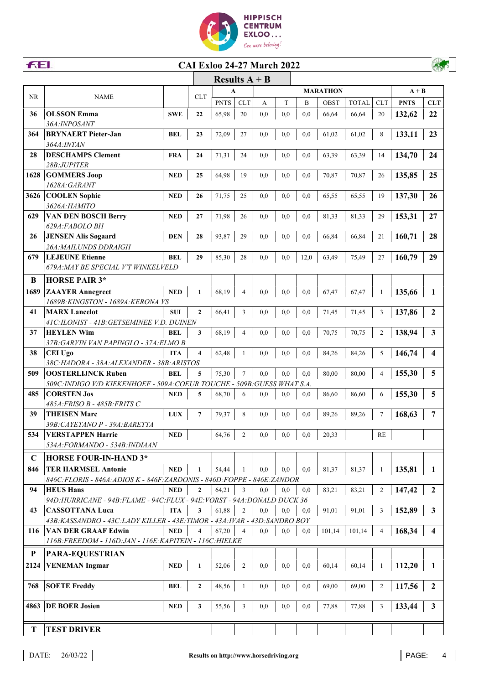

| Results $A + B$<br>$\mathbf{A}$<br><b>MARATHON</b><br>$A + B$<br>NR.<br><b>CLT</b><br><b>NAME</b><br><b>CLT</b><br><b>PNTS</b><br>T<br><b>OBST</b><br><b>TOTAL</b><br><b>CLT</b><br><b>PNTS</b><br>A<br>B<br><b>CLT</b><br><b>OLSSON Emma</b><br>36<br><b>SWE</b><br>22<br>65,98<br>20<br>0,0<br>0,0<br>0,0<br>66,64<br>132,62<br>22<br>66,64<br>20<br>36A: INPOSANT<br>133,11<br>23<br>364<br><b>BRYNAERT</b> Pieter-Jan<br><b>BEL</b><br>72,09<br>27<br>0,0<br>0,0<br>0,0<br>61,02<br>61,02<br>8<br>23<br><i>364A:INTAN</i><br><b>DESCHAMPS Clement</b><br>134,70<br>28<br><b>FRA</b><br>71,31<br>0,0<br>63,39<br>63,39<br>24<br>24<br>24<br>0,0<br>0,0<br>14<br>28B:JUPITER<br><b>GOMMERS Joop</b><br>1628<br>64,98<br>135,85<br>25<br><b>NED</b><br>25<br>19<br>0,0<br>0,0<br>0,0<br>70,87<br>70,87<br>26<br>1628A: GARANT<br><b>COOLEN</b> Sophie<br>137,30<br>26<br>3626<br><b>NED</b><br>71,75<br>25<br>0,0<br>0,0<br>0,0<br>65,55<br>26<br>65,55<br>19<br>3626А:НАМІТО<br>629<br><b>VAN DEN BOSCH Berry</b><br>153,31<br>27<br><b>NED</b><br>27<br>71,98<br>26<br>0,0<br>0,0<br>0,0<br>81,33<br>81,33<br>29<br>629A:FABOLO BH<br>26<br><b>JENSEN Alis Søgaard</b><br>28<br><b>DEN</b><br>28<br>93,87<br>29<br>0,0<br>0,0<br>66,84<br>66,84<br>21<br>160,71<br>0,0<br>26A: MAILUNDS DDRAIGH<br><b>LEJEUNE Etienne</b><br>679<br><b>BEL</b><br>29<br>85,30<br>0,0<br>63,49<br>160,79<br>29<br>28<br>0,0<br>12,0<br>75,49<br>27<br>679A: MAY BE SPECIAL V'T WINKELVELD<br><b>HORSE PAIR 3*</b><br>B<br>1689<br><b>ZAAYER Annegreet</b><br><b>NED</b><br>68,19<br>0,0<br>0,0<br>1<br>$\overline{4}$<br>0,0<br>67,47<br>67,47<br>135,66<br>1<br>1<br>1689B:KINGSTON - 1689A:KERONA VS<br>$\mathbf{2}$<br>41<br><b>MARX Lancelot</b><br>0,0<br>137,86<br><b>SUI</b><br>$\mathbf{2}$<br>66,41<br>3<br>0,0<br>0,0<br>71,45<br>71,45<br>3<br>41C:ILONIST - 41B:GETSEMINEE V.D. DUINEN<br>37<br><b>HEYLEN Wim</b><br>138,94<br>$\mathbf{3}$<br>68,19<br>0,0<br>0,0<br>70,75<br>$\mathfrak{2}$<br><b>BEL</b><br>3<br>4<br>0,0<br>70,75<br>37B: GARVIN VAN PAPINGLO - 37A: ELMO B<br>38<br><b>CEI Ugo</b><br>0,0<br>0,0<br>0,0<br>84,26<br>5<br>146,74<br>$\overline{\mathbf{4}}$<br>$\overline{\mathbf{4}}$<br>62,48<br>84,26<br><b>ITA</b><br>38C:HADORA - 38A:ALEXANDER - 38B:ARISTOS<br>5<br>509<br><b>OOSTERLIJNCK Ruben</b><br>$\overline{7}$<br>0,0<br>155,30<br><b>BEL</b><br>5<br>75,30<br>0,0<br>0,0<br>80,00<br>80,00<br>$\overline{4}$<br>509C: INDIGO V/D KIEKENHOEF - 509A: COEUR TOUCHE - 509B: GUESS WHAT S.A.<br><b>CORSTEN Jos</b><br>155,30<br>5<br>485<br>68,70<br>0,0<br><b>NED</b><br>5<br>0,0<br>0.0<br>86,60<br>86,60<br>6<br>6<br>485A: FRISO B - 485B: FRITS C<br>$\overline{7}$<br>39<br><b>THEISEN Marc</b><br>168,63<br><b>LUX</b><br>79,37<br>8<br>0,0<br>0,0<br>0,0<br>89,26<br>89,26<br>7<br>7<br>39B: CAYETANO P - 39A: BARETTA<br><b>VERSTAPPEN Harrie</b><br>534<br><b>NED</b><br>64,76<br>$\overline{c}$<br>0,0<br>RE<br>0,0<br>0,0<br>20,33<br>534A:FORMANDO - 534B:INDIAAN<br>$\mathbf C$<br><b>HORSE FOUR-IN-HAND 3*</b><br><b>TER HARMSEL Antonie</b><br>846<br><b>NED</b><br>135,81<br>54,44<br>0,0<br>0,0<br>0,0<br>81,37<br>81,37<br>1<br>1<br>1<br>1<br>846C: FLORIS - 846A: ADIOS K - 846F: ZARDONIS - 846D: FOPPE - 846E: ZANDOR<br>$\overline{2}$<br>147,42<br>94<br><b>HEUS Hans</b><br><b>NED</b><br>$\mathbf{2}$<br>64,21<br>0,0<br>0,0<br>83,21<br>83,21<br>$\overline{2}$<br>3<br>0,0<br>94D:HURRICANE - 94B:FLAME - 94C:FLUX - 94E:VORST - 94A:DONALD DUCK 36<br>61,88<br>152,89<br>43<br><b>CASSOTTANA Luca</b><br><b>ITA</b><br>3<br>$\overline{c}$<br>0,0<br>0,0<br>91,01<br>91,01<br>3<br>$\mathbf{3}$<br>0,0<br>43B: KASSANDRO - 43C: LADY KILLER - 43E: TIMOR - 43A: IVAR - 43D: SANDRO BOY<br><b>VAN DER GRAAF Edwin</b><br>116<br><b>NED</b><br>67,20<br>0,0<br>101,14<br>168,34<br>4<br>0,0<br>0,0<br>101,14<br>4<br>4<br>4<br>116B: FREEDOM - 116D: JAN - 116E: KAPITEIN - 116C: HIELKE<br>P<br><b>PARA-EQUESTRIAN</b><br><b>VENEMAN Ingmar</b><br>2124<br><b>NED</b><br>52,06<br>0,0<br>0,0<br>0,0<br>60,14<br>60,14<br>112,20<br>2<br>1<br>1<br>1<br><b>SOETE Freddy</b><br>69,00<br>117,56<br>$\overline{2}$<br>768<br><b>BEL</b><br>$\boldsymbol{2}$<br>48,56<br>0,0<br>0,0<br>0,0<br>69,00<br>$\overline{c}$<br><b>DE BOER Josien</b><br>133,44<br>$\mathbf{3}$<br>4863<br><b>NED</b><br>3<br>0,0<br>0,0<br>0,0<br>77,88<br>77,88<br>3<br>3<br>55,56<br><b>TEST DRIVER</b><br>T | <b>FEI.</b> |  | <b>CAI Exloo 24-27 March 2022</b> |  |  |  |  |  |
|-------------------------------------------------------------------------------------------------------------------------------------------------------------------------------------------------------------------------------------------------------------------------------------------------------------------------------------------------------------------------------------------------------------------------------------------------------------------------------------------------------------------------------------------------------------------------------------------------------------------------------------------------------------------------------------------------------------------------------------------------------------------------------------------------------------------------------------------------------------------------------------------------------------------------------------------------------------------------------------------------------------------------------------------------------------------------------------------------------------------------------------------------------------------------------------------------------------------------------------------------------------------------------------------------------------------------------------------------------------------------------------------------------------------------------------------------------------------------------------------------------------------------------------------------------------------------------------------------------------------------------------------------------------------------------------------------------------------------------------------------------------------------------------------------------------------------------------------------------------------------------------------------------------------------------------------------------------------------------------------------------------------------------------------------------------------------------------------------------------------------------------------------------------------------------------------------------------------------------------------------------------------------------------------------------------------------------------------------------------------------------------------------------------------------------------------------------------------------------------------------------------------------------------------------------------------------------------------------------------------------------------------------------------------------------------------------------------------------------------------------------------------------------------------------------------------------------------------------------------------------------------------------------------------------------------------------------------------------------------------------------------------------------------------------------------------------------------------------------------------------------------------------------------------------------------------------------------------------------------------------------------------------------------------------------------------------------------------------------------------------------------------------------------------------------------------------------------------------------------------------------------------------------------------------------------------------------------------------------------------------------------------------------------------------------------------------------------------------------------------------------------------------------------------------------------------------------------------------------------------------------------------------------------------------------------------------------------------------------------------------------------------------------------------------------------------------------------------------------------------------------------------------------------------------------------------------------------------------------------------------------------------------------------------------------------------------------------------------------------------------------------------------------------------------------------------------|-------------|--|-----------------------------------|--|--|--|--|--|
|                                                                                                                                                                                                                                                                                                                                                                                                                                                                                                                                                                                                                                                                                                                                                                                                                                                                                                                                                                                                                                                                                                                                                                                                                                                                                                                                                                                                                                                                                                                                                                                                                                                                                                                                                                                                                                                                                                                                                                                                                                                                                                                                                                                                                                                                                                                                                                                                                                                                                                                                                                                                                                                                                                                                                                                                                                                                                                                                                                                                                                                                                                                                                                                                                                                                                                                                                                                                                                                                                                                                                                                                                                                                                                                                                                                                                                                                                                                                                                                                                                                                                                                                                                                                                                                                                                                                                                                                                                                 |             |  |                                   |  |  |  |  |  |
|                                                                                                                                                                                                                                                                                                                                                                                                                                                                                                                                                                                                                                                                                                                                                                                                                                                                                                                                                                                                                                                                                                                                                                                                                                                                                                                                                                                                                                                                                                                                                                                                                                                                                                                                                                                                                                                                                                                                                                                                                                                                                                                                                                                                                                                                                                                                                                                                                                                                                                                                                                                                                                                                                                                                                                                                                                                                                                                                                                                                                                                                                                                                                                                                                                                                                                                                                                                                                                                                                                                                                                                                                                                                                                                                                                                                                                                                                                                                                                                                                                                                                                                                                                                                                                                                                                                                                                                                                                                 |             |  |                                   |  |  |  |  |  |
|                                                                                                                                                                                                                                                                                                                                                                                                                                                                                                                                                                                                                                                                                                                                                                                                                                                                                                                                                                                                                                                                                                                                                                                                                                                                                                                                                                                                                                                                                                                                                                                                                                                                                                                                                                                                                                                                                                                                                                                                                                                                                                                                                                                                                                                                                                                                                                                                                                                                                                                                                                                                                                                                                                                                                                                                                                                                                                                                                                                                                                                                                                                                                                                                                                                                                                                                                                                                                                                                                                                                                                                                                                                                                                                                                                                                                                                                                                                                                                                                                                                                                                                                                                                                                                                                                                                                                                                                                                                 |             |  |                                   |  |  |  |  |  |
|                                                                                                                                                                                                                                                                                                                                                                                                                                                                                                                                                                                                                                                                                                                                                                                                                                                                                                                                                                                                                                                                                                                                                                                                                                                                                                                                                                                                                                                                                                                                                                                                                                                                                                                                                                                                                                                                                                                                                                                                                                                                                                                                                                                                                                                                                                                                                                                                                                                                                                                                                                                                                                                                                                                                                                                                                                                                                                                                                                                                                                                                                                                                                                                                                                                                                                                                                                                                                                                                                                                                                                                                                                                                                                                                                                                                                                                                                                                                                                                                                                                                                                                                                                                                                                                                                                                                                                                                                                                 |             |  |                                   |  |  |  |  |  |
|                                                                                                                                                                                                                                                                                                                                                                                                                                                                                                                                                                                                                                                                                                                                                                                                                                                                                                                                                                                                                                                                                                                                                                                                                                                                                                                                                                                                                                                                                                                                                                                                                                                                                                                                                                                                                                                                                                                                                                                                                                                                                                                                                                                                                                                                                                                                                                                                                                                                                                                                                                                                                                                                                                                                                                                                                                                                                                                                                                                                                                                                                                                                                                                                                                                                                                                                                                                                                                                                                                                                                                                                                                                                                                                                                                                                                                                                                                                                                                                                                                                                                                                                                                                                                                                                                                                                                                                                                                                 |             |  |                                   |  |  |  |  |  |
|                                                                                                                                                                                                                                                                                                                                                                                                                                                                                                                                                                                                                                                                                                                                                                                                                                                                                                                                                                                                                                                                                                                                                                                                                                                                                                                                                                                                                                                                                                                                                                                                                                                                                                                                                                                                                                                                                                                                                                                                                                                                                                                                                                                                                                                                                                                                                                                                                                                                                                                                                                                                                                                                                                                                                                                                                                                                                                                                                                                                                                                                                                                                                                                                                                                                                                                                                                                                                                                                                                                                                                                                                                                                                                                                                                                                                                                                                                                                                                                                                                                                                                                                                                                                                                                                                                                                                                                                                                                 |             |  |                                   |  |  |  |  |  |
|                                                                                                                                                                                                                                                                                                                                                                                                                                                                                                                                                                                                                                                                                                                                                                                                                                                                                                                                                                                                                                                                                                                                                                                                                                                                                                                                                                                                                                                                                                                                                                                                                                                                                                                                                                                                                                                                                                                                                                                                                                                                                                                                                                                                                                                                                                                                                                                                                                                                                                                                                                                                                                                                                                                                                                                                                                                                                                                                                                                                                                                                                                                                                                                                                                                                                                                                                                                                                                                                                                                                                                                                                                                                                                                                                                                                                                                                                                                                                                                                                                                                                                                                                                                                                                                                                                                                                                                                                                                 |             |  |                                   |  |  |  |  |  |
|                                                                                                                                                                                                                                                                                                                                                                                                                                                                                                                                                                                                                                                                                                                                                                                                                                                                                                                                                                                                                                                                                                                                                                                                                                                                                                                                                                                                                                                                                                                                                                                                                                                                                                                                                                                                                                                                                                                                                                                                                                                                                                                                                                                                                                                                                                                                                                                                                                                                                                                                                                                                                                                                                                                                                                                                                                                                                                                                                                                                                                                                                                                                                                                                                                                                                                                                                                                                                                                                                                                                                                                                                                                                                                                                                                                                                                                                                                                                                                                                                                                                                                                                                                                                                                                                                                                                                                                                                                                 |             |  |                                   |  |  |  |  |  |
|                                                                                                                                                                                                                                                                                                                                                                                                                                                                                                                                                                                                                                                                                                                                                                                                                                                                                                                                                                                                                                                                                                                                                                                                                                                                                                                                                                                                                                                                                                                                                                                                                                                                                                                                                                                                                                                                                                                                                                                                                                                                                                                                                                                                                                                                                                                                                                                                                                                                                                                                                                                                                                                                                                                                                                                                                                                                                                                                                                                                                                                                                                                                                                                                                                                                                                                                                                                                                                                                                                                                                                                                                                                                                                                                                                                                                                                                                                                                                                                                                                                                                                                                                                                                                                                                                                                                                                                                                                                 |             |  |                                   |  |  |  |  |  |
|                                                                                                                                                                                                                                                                                                                                                                                                                                                                                                                                                                                                                                                                                                                                                                                                                                                                                                                                                                                                                                                                                                                                                                                                                                                                                                                                                                                                                                                                                                                                                                                                                                                                                                                                                                                                                                                                                                                                                                                                                                                                                                                                                                                                                                                                                                                                                                                                                                                                                                                                                                                                                                                                                                                                                                                                                                                                                                                                                                                                                                                                                                                                                                                                                                                                                                                                                                                                                                                                                                                                                                                                                                                                                                                                                                                                                                                                                                                                                                                                                                                                                                                                                                                                                                                                                                                                                                                                                                                 |             |  |                                   |  |  |  |  |  |
|                                                                                                                                                                                                                                                                                                                                                                                                                                                                                                                                                                                                                                                                                                                                                                                                                                                                                                                                                                                                                                                                                                                                                                                                                                                                                                                                                                                                                                                                                                                                                                                                                                                                                                                                                                                                                                                                                                                                                                                                                                                                                                                                                                                                                                                                                                                                                                                                                                                                                                                                                                                                                                                                                                                                                                                                                                                                                                                                                                                                                                                                                                                                                                                                                                                                                                                                                                                                                                                                                                                                                                                                                                                                                                                                                                                                                                                                                                                                                                                                                                                                                                                                                                                                                                                                                                                                                                                                                                                 |             |  |                                   |  |  |  |  |  |
|                                                                                                                                                                                                                                                                                                                                                                                                                                                                                                                                                                                                                                                                                                                                                                                                                                                                                                                                                                                                                                                                                                                                                                                                                                                                                                                                                                                                                                                                                                                                                                                                                                                                                                                                                                                                                                                                                                                                                                                                                                                                                                                                                                                                                                                                                                                                                                                                                                                                                                                                                                                                                                                                                                                                                                                                                                                                                                                                                                                                                                                                                                                                                                                                                                                                                                                                                                                                                                                                                                                                                                                                                                                                                                                                                                                                                                                                                                                                                                                                                                                                                                                                                                                                                                                                                                                                                                                                                                                 |             |  |                                   |  |  |  |  |  |
|                                                                                                                                                                                                                                                                                                                                                                                                                                                                                                                                                                                                                                                                                                                                                                                                                                                                                                                                                                                                                                                                                                                                                                                                                                                                                                                                                                                                                                                                                                                                                                                                                                                                                                                                                                                                                                                                                                                                                                                                                                                                                                                                                                                                                                                                                                                                                                                                                                                                                                                                                                                                                                                                                                                                                                                                                                                                                                                                                                                                                                                                                                                                                                                                                                                                                                                                                                                                                                                                                                                                                                                                                                                                                                                                                                                                                                                                                                                                                                                                                                                                                                                                                                                                                                                                                                                                                                                                                                                 |             |  |                                   |  |  |  |  |  |
|                                                                                                                                                                                                                                                                                                                                                                                                                                                                                                                                                                                                                                                                                                                                                                                                                                                                                                                                                                                                                                                                                                                                                                                                                                                                                                                                                                                                                                                                                                                                                                                                                                                                                                                                                                                                                                                                                                                                                                                                                                                                                                                                                                                                                                                                                                                                                                                                                                                                                                                                                                                                                                                                                                                                                                                                                                                                                                                                                                                                                                                                                                                                                                                                                                                                                                                                                                                                                                                                                                                                                                                                                                                                                                                                                                                                                                                                                                                                                                                                                                                                                                                                                                                                                                                                                                                                                                                                                                                 |             |  |                                   |  |  |  |  |  |
|                                                                                                                                                                                                                                                                                                                                                                                                                                                                                                                                                                                                                                                                                                                                                                                                                                                                                                                                                                                                                                                                                                                                                                                                                                                                                                                                                                                                                                                                                                                                                                                                                                                                                                                                                                                                                                                                                                                                                                                                                                                                                                                                                                                                                                                                                                                                                                                                                                                                                                                                                                                                                                                                                                                                                                                                                                                                                                                                                                                                                                                                                                                                                                                                                                                                                                                                                                                                                                                                                                                                                                                                                                                                                                                                                                                                                                                                                                                                                                                                                                                                                                                                                                                                                                                                                                                                                                                                                                                 |             |  |                                   |  |  |  |  |  |
|                                                                                                                                                                                                                                                                                                                                                                                                                                                                                                                                                                                                                                                                                                                                                                                                                                                                                                                                                                                                                                                                                                                                                                                                                                                                                                                                                                                                                                                                                                                                                                                                                                                                                                                                                                                                                                                                                                                                                                                                                                                                                                                                                                                                                                                                                                                                                                                                                                                                                                                                                                                                                                                                                                                                                                                                                                                                                                                                                                                                                                                                                                                                                                                                                                                                                                                                                                                                                                                                                                                                                                                                                                                                                                                                                                                                                                                                                                                                                                                                                                                                                                                                                                                                                                                                                                                                                                                                                                                 |             |  |                                   |  |  |  |  |  |
|                                                                                                                                                                                                                                                                                                                                                                                                                                                                                                                                                                                                                                                                                                                                                                                                                                                                                                                                                                                                                                                                                                                                                                                                                                                                                                                                                                                                                                                                                                                                                                                                                                                                                                                                                                                                                                                                                                                                                                                                                                                                                                                                                                                                                                                                                                                                                                                                                                                                                                                                                                                                                                                                                                                                                                                                                                                                                                                                                                                                                                                                                                                                                                                                                                                                                                                                                                                                                                                                                                                                                                                                                                                                                                                                                                                                                                                                                                                                                                                                                                                                                                                                                                                                                                                                                                                                                                                                                                                 |             |  |                                   |  |  |  |  |  |
|                                                                                                                                                                                                                                                                                                                                                                                                                                                                                                                                                                                                                                                                                                                                                                                                                                                                                                                                                                                                                                                                                                                                                                                                                                                                                                                                                                                                                                                                                                                                                                                                                                                                                                                                                                                                                                                                                                                                                                                                                                                                                                                                                                                                                                                                                                                                                                                                                                                                                                                                                                                                                                                                                                                                                                                                                                                                                                                                                                                                                                                                                                                                                                                                                                                                                                                                                                                                                                                                                                                                                                                                                                                                                                                                                                                                                                                                                                                                                                                                                                                                                                                                                                                                                                                                                                                                                                                                                                                 |             |  |                                   |  |  |  |  |  |
|                                                                                                                                                                                                                                                                                                                                                                                                                                                                                                                                                                                                                                                                                                                                                                                                                                                                                                                                                                                                                                                                                                                                                                                                                                                                                                                                                                                                                                                                                                                                                                                                                                                                                                                                                                                                                                                                                                                                                                                                                                                                                                                                                                                                                                                                                                                                                                                                                                                                                                                                                                                                                                                                                                                                                                                                                                                                                                                                                                                                                                                                                                                                                                                                                                                                                                                                                                                                                                                                                                                                                                                                                                                                                                                                                                                                                                                                                                                                                                                                                                                                                                                                                                                                                                                                                                                                                                                                                                                 |             |  |                                   |  |  |  |  |  |
|                                                                                                                                                                                                                                                                                                                                                                                                                                                                                                                                                                                                                                                                                                                                                                                                                                                                                                                                                                                                                                                                                                                                                                                                                                                                                                                                                                                                                                                                                                                                                                                                                                                                                                                                                                                                                                                                                                                                                                                                                                                                                                                                                                                                                                                                                                                                                                                                                                                                                                                                                                                                                                                                                                                                                                                                                                                                                                                                                                                                                                                                                                                                                                                                                                                                                                                                                                                                                                                                                                                                                                                                                                                                                                                                                                                                                                                                                                                                                                                                                                                                                                                                                                                                                                                                                                                                                                                                                                                 |             |  |                                   |  |  |  |  |  |
|                                                                                                                                                                                                                                                                                                                                                                                                                                                                                                                                                                                                                                                                                                                                                                                                                                                                                                                                                                                                                                                                                                                                                                                                                                                                                                                                                                                                                                                                                                                                                                                                                                                                                                                                                                                                                                                                                                                                                                                                                                                                                                                                                                                                                                                                                                                                                                                                                                                                                                                                                                                                                                                                                                                                                                                                                                                                                                                                                                                                                                                                                                                                                                                                                                                                                                                                                                                                                                                                                                                                                                                                                                                                                                                                                                                                                                                                                                                                                                                                                                                                                                                                                                                                                                                                                                                                                                                                                                                 |             |  |                                   |  |  |  |  |  |
|                                                                                                                                                                                                                                                                                                                                                                                                                                                                                                                                                                                                                                                                                                                                                                                                                                                                                                                                                                                                                                                                                                                                                                                                                                                                                                                                                                                                                                                                                                                                                                                                                                                                                                                                                                                                                                                                                                                                                                                                                                                                                                                                                                                                                                                                                                                                                                                                                                                                                                                                                                                                                                                                                                                                                                                                                                                                                                                                                                                                                                                                                                                                                                                                                                                                                                                                                                                                                                                                                                                                                                                                                                                                                                                                                                                                                                                                                                                                                                                                                                                                                                                                                                                                                                                                                                                                                                                                                                                 |             |  |                                   |  |  |  |  |  |
|                                                                                                                                                                                                                                                                                                                                                                                                                                                                                                                                                                                                                                                                                                                                                                                                                                                                                                                                                                                                                                                                                                                                                                                                                                                                                                                                                                                                                                                                                                                                                                                                                                                                                                                                                                                                                                                                                                                                                                                                                                                                                                                                                                                                                                                                                                                                                                                                                                                                                                                                                                                                                                                                                                                                                                                                                                                                                                                                                                                                                                                                                                                                                                                                                                                                                                                                                                                                                                                                                                                                                                                                                                                                                                                                                                                                                                                                                                                                                                                                                                                                                                                                                                                                                                                                                                                                                                                                                                                 |             |  |                                   |  |  |  |  |  |
|                                                                                                                                                                                                                                                                                                                                                                                                                                                                                                                                                                                                                                                                                                                                                                                                                                                                                                                                                                                                                                                                                                                                                                                                                                                                                                                                                                                                                                                                                                                                                                                                                                                                                                                                                                                                                                                                                                                                                                                                                                                                                                                                                                                                                                                                                                                                                                                                                                                                                                                                                                                                                                                                                                                                                                                                                                                                                                                                                                                                                                                                                                                                                                                                                                                                                                                                                                                                                                                                                                                                                                                                                                                                                                                                                                                                                                                                                                                                                                                                                                                                                                                                                                                                                                                                                                                                                                                                                                                 |             |  |                                   |  |  |  |  |  |
|                                                                                                                                                                                                                                                                                                                                                                                                                                                                                                                                                                                                                                                                                                                                                                                                                                                                                                                                                                                                                                                                                                                                                                                                                                                                                                                                                                                                                                                                                                                                                                                                                                                                                                                                                                                                                                                                                                                                                                                                                                                                                                                                                                                                                                                                                                                                                                                                                                                                                                                                                                                                                                                                                                                                                                                                                                                                                                                                                                                                                                                                                                                                                                                                                                                                                                                                                                                                                                                                                                                                                                                                                                                                                                                                                                                                                                                                                                                                                                                                                                                                                                                                                                                                                                                                                                                                                                                                                                                 |             |  |                                   |  |  |  |  |  |
|                                                                                                                                                                                                                                                                                                                                                                                                                                                                                                                                                                                                                                                                                                                                                                                                                                                                                                                                                                                                                                                                                                                                                                                                                                                                                                                                                                                                                                                                                                                                                                                                                                                                                                                                                                                                                                                                                                                                                                                                                                                                                                                                                                                                                                                                                                                                                                                                                                                                                                                                                                                                                                                                                                                                                                                                                                                                                                                                                                                                                                                                                                                                                                                                                                                                                                                                                                                                                                                                                                                                                                                                                                                                                                                                                                                                                                                                                                                                                                                                                                                                                                                                                                                                                                                                                                                                                                                                                                                 |             |  |                                   |  |  |  |  |  |
|                                                                                                                                                                                                                                                                                                                                                                                                                                                                                                                                                                                                                                                                                                                                                                                                                                                                                                                                                                                                                                                                                                                                                                                                                                                                                                                                                                                                                                                                                                                                                                                                                                                                                                                                                                                                                                                                                                                                                                                                                                                                                                                                                                                                                                                                                                                                                                                                                                                                                                                                                                                                                                                                                                                                                                                                                                                                                                                                                                                                                                                                                                                                                                                                                                                                                                                                                                                                                                                                                                                                                                                                                                                                                                                                                                                                                                                                                                                                                                                                                                                                                                                                                                                                                                                                                                                                                                                                                                                 |             |  |                                   |  |  |  |  |  |
|                                                                                                                                                                                                                                                                                                                                                                                                                                                                                                                                                                                                                                                                                                                                                                                                                                                                                                                                                                                                                                                                                                                                                                                                                                                                                                                                                                                                                                                                                                                                                                                                                                                                                                                                                                                                                                                                                                                                                                                                                                                                                                                                                                                                                                                                                                                                                                                                                                                                                                                                                                                                                                                                                                                                                                                                                                                                                                                                                                                                                                                                                                                                                                                                                                                                                                                                                                                                                                                                                                                                                                                                                                                                                                                                                                                                                                                                                                                                                                                                                                                                                                                                                                                                                                                                                                                                                                                                                                                 |             |  |                                   |  |  |  |  |  |
|                                                                                                                                                                                                                                                                                                                                                                                                                                                                                                                                                                                                                                                                                                                                                                                                                                                                                                                                                                                                                                                                                                                                                                                                                                                                                                                                                                                                                                                                                                                                                                                                                                                                                                                                                                                                                                                                                                                                                                                                                                                                                                                                                                                                                                                                                                                                                                                                                                                                                                                                                                                                                                                                                                                                                                                                                                                                                                                                                                                                                                                                                                                                                                                                                                                                                                                                                                                                                                                                                                                                                                                                                                                                                                                                                                                                                                                                                                                                                                                                                                                                                                                                                                                                                                                                                                                                                                                                                                                 |             |  |                                   |  |  |  |  |  |
|                                                                                                                                                                                                                                                                                                                                                                                                                                                                                                                                                                                                                                                                                                                                                                                                                                                                                                                                                                                                                                                                                                                                                                                                                                                                                                                                                                                                                                                                                                                                                                                                                                                                                                                                                                                                                                                                                                                                                                                                                                                                                                                                                                                                                                                                                                                                                                                                                                                                                                                                                                                                                                                                                                                                                                                                                                                                                                                                                                                                                                                                                                                                                                                                                                                                                                                                                                                                                                                                                                                                                                                                                                                                                                                                                                                                                                                                                                                                                                                                                                                                                                                                                                                                                                                                                                                                                                                                                                                 |             |  |                                   |  |  |  |  |  |
|                                                                                                                                                                                                                                                                                                                                                                                                                                                                                                                                                                                                                                                                                                                                                                                                                                                                                                                                                                                                                                                                                                                                                                                                                                                                                                                                                                                                                                                                                                                                                                                                                                                                                                                                                                                                                                                                                                                                                                                                                                                                                                                                                                                                                                                                                                                                                                                                                                                                                                                                                                                                                                                                                                                                                                                                                                                                                                                                                                                                                                                                                                                                                                                                                                                                                                                                                                                                                                                                                                                                                                                                                                                                                                                                                                                                                                                                                                                                                                                                                                                                                                                                                                                                                                                                                                                                                                                                                                                 |             |  |                                   |  |  |  |  |  |
|                                                                                                                                                                                                                                                                                                                                                                                                                                                                                                                                                                                                                                                                                                                                                                                                                                                                                                                                                                                                                                                                                                                                                                                                                                                                                                                                                                                                                                                                                                                                                                                                                                                                                                                                                                                                                                                                                                                                                                                                                                                                                                                                                                                                                                                                                                                                                                                                                                                                                                                                                                                                                                                                                                                                                                                                                                                                                                                                                                                                                                                                                                                                                                                                                                                                                                                                                                                                                                                                                                                                                                                                                                                                                                                                                                                                                                                                                                                                                                                                                                                                                                                                                                                                                                                                                                                                                                                                                                                 |             |  |                                   |  |  |  |  |  |
|                                                                                                                                                                                                                                                                                                                                                                                                                                                                                                                                                                                                                                                                                                                                                                                                                                                                                                                                                                                                                                                                                                                                                                                                                                                                                                                                                                                                                                                                                                                                                                                                                                                                                                                                                                                                                                                                                                                                                                                                                                                                                                                                                                                                                                                                                                                                                                                                                                                                                                                                                                                                                                                                                                                                                                                                                                                                                                                                                                                                                                                                                                                                                                                                                                                                                                                                                                                                                                                                                                                                                                                                                                                                                                                                                                                                                                                                                                                                                                                                                                                                                                                                                                                                                                                                                                                                                                                                                                                 |             |  |                                   |  |  |  |  |  |
|                                                                                                                                                                                                                                                                                                                                                                                                                                                                                                                                                                                                                                                                                                                                                                                                                                                                                                                                                                                                                                                                                                                                                                                                                                                                                                                                                                                                                                                                                                                                                                                                                                                                                                                                                                                                                                                                                                                                                                                                                                                                                                                                                                                                                                                                                                                                                                                                                                                                                                                                                                                                                                                                                                                                                                                                                                                                                                                                                                                                                                                                                                                                                                                                                                                                                                                                                                                                                                                                                                                                                                                                                                                                                                                                                                                                                                                                                                                                                                                                                                                                                                                                                                                                                                                                                                                                                                                                                                                 |             |  |                                   |  |  |  |  |  |
|                                                                                                                                                                                                                                                                                                                                                                                                                                                                                                                                                                                                                                                                                                                                                                                                                                                                                                                                                                                                                                                                                                                                                                                                                                                                                                                                                                                                                                                                                                                                                                                                                                                                                                                                                                                                                                                                                                                                                                                                                                                                                                                                                                                                                                                                                                                                                                                                                                                                                                                                                                                                                                                                                                                                                                                                                                                                                                                                                                                                                                                                                                                                                                                                                                                                                                                                                                                                                                                                                                                                                                                                                                                                                                                                                                                                                                                                                                                                                                                                                                                                                                                                                                                                                                                                                                                                                                                                                                                 |             |  |                                   |  |  |  |  |  |
|                                                                                                                                                                                                                                                                                                                                                                                                                                                                                                                                                                                                                                                                                                                                                                                                                                                                                                                                                                                                                                                                                                                                                                                                                                                                                                                                                                                                                                                                                                                                                                                                                                                                                                                                                                                                                                                                                                                                                                                                                                                                                                                                                                                                                                                                                                                                                                                                                                                                                                                                                                                                                                                                                                                                                                                                                                                                                                                                                                                                                                                                                                                                                                                                                                                                                                                                                                                                                                                                                                                                                                                                                                                                                                                                                                                                                                                                                                                                                                                                                                                                                                                                                                                                                                                                                                                                                                                                                                                 |             |  |                                   |  |  |  |  |  |
|                                                                                                                                                                                                                                                                                                                                                                                                                                                                                                                                                                                                                                                                                                                                                                                                                                                                                                                                                                                                                                                                                                                                                                                                                                                                                                                                                                                                                                                                                                                                                                                                                                                                                                                                                                                                                                                                                                                                                                                                                                                                                                                                                                                                                                                                                                                                                                                                                                                                                                                                                                                                                                                                                                                                                                                                                                                                                                                                                                                                                                                                                                                                                                                                                                                                                                                                                                                                                                                                                                                                                                                                                                                                                                                                                                                                                                                                                                                                                                                                                                                                                                                                                                                                                                                                                                                                                                                                                                                 |             |  |                                   |  |  |  |  |  |
|                                                                                                                                                                                                                                                                                                                                                                                                                                                                                                                                                                                                                                                                                                                                                                                                                                                                                                                                                                                                                                                                                                                                                                                                                                                                                                                                                                                                                                                                                                                                                                                                                                                                                                                                                                                                                                                                                                                                                                                                                                                                                                                                                                                                                                                                                                                                                                                                                                                                                                                                                                                                                                                                                                                                                                                                                                                                                                                                                                                                                                                                                                                                                                                                                                                                                                                                                                                                                                                                                                                                                                                                                                                                                                                                                                                                                                                                                                                                                                                                                                                                                                                                                                                                                                                                                                                                                                                                                                                 |             |  |                                   |  |  |  |  |  |
|                                                                                                                                                                                                                                                                                                                                                                                                                                                                                                                                                                                                                                                                                                                                                                                                                                                                                                                                                                                                                                                                                                                                                                                                                                                                                                                                                                                                                                                                                                                                                                                                                                                                                                                                                                                                                                                                                                                                                                                                                                                                                                                                                                                                                                                                                                                                                                                                                                                                                                                                                                                                                                                                                                                                                                                                                                                                                                                                                                                                                                                                                                                                                                                                                                                                                                                                                                                                                                                                                                                                                                                                                                                                                                                                                                                                                                                                                                                                                                                                                                                                                                                                                                                                                                                                                                                                                                                                                                                 |             |  |                                   |  |  |  |  |  |
|                                                                                                                                                                                                                                                                                                                                                                                                                                                                                                                                                                                                                                                                                                                                                                                                                                                                                                                                                                                                                                                                                                                                                                                                                                                                                                                                                                                                                                                                                                                                                                                                                                                                                                                                                                                                                                                                                                                                                                                                                                                                                                                                                                                                                                                                                                                                                                                                                                                                                                                                                                                                                                                                                                                                                                                                                                                                                                                                                                                                                                                                                                                                                                                                                                                                                                                                                                                                                                                                                                                                                                                                                                                                                                                                                                                                                                                                                                                                                                                                                                                                                                                                                                                                                                                                                                                                                                                                                                                 |             |  |                                   |  |  |  |  |  |
|                                                                                                                                                                                                                                                                                                                                                                                                                                                                                                                                                                                                                                                                                                                                                                                                                                                                                                                                                                                                                                                                                                                                                                                                                                                                                                                                                                                                                                                                                                                                                                                                                                                                                                                                                                                                                                                                                                                                                                                                                                                                                                                                                                                                                                                                                                                                                                                                                                                                                                                                                                                                                                                                                                                                                                                                                                                                                                                                                                                                                                                                                                                                                                                                                                                                                                                                                                                                                                                                                                                                                                                                                                                                                                                                                                                                                                                                                                                                                                                                                                                                                                                                                                                                                                                                                                                                                                                                                                                 |             |  |                                   |  |  |  |  |  |
|                                                                                                                                                                                                                                                                                                                                                                                                                                                                                                                                                                                                                                                                                                                                                                                                                                                                                                                                                                                                                                                                                                                                                                                                                                                                                                                                                                                                                                                                                                                                                                                                                                                                                                                                                                                                                                                                                                                                                                                                                                                                                                                                                                                                                                                                                                                                                                                                                                                                                                                                                                                                                                                                                                                                                                                                                                                                                                                                                                                                                                                                                                                                                                                                                                                                                                                                                                                                                                                                                                                                                                                                                                                                                                                                                                                                                                                                                                                                                                                                                                                                                                                                                                                                                                                                                                                                                                                                                                                 |             |  |                                   |  |  |  |  |  |
|                                                                                                                                                                                                                                                                                                                                                                                                                                                                                                                                                                                                                                                                                                                                                                                                                                                                                                                                                                                                                                                                                                                                                                                                                                                                                                                                                                                                                                                                                                                                                                                                                                                                                                                                                                                                                                                                                                                                                                                                                                                                                                                                                                                                                                                                                                                                                                                                                                                                                                                                                                                                                                                                                                                                                                                                                                                                                                                                                                                                                                                                                                                                                                                                                                                                                                                                                                                                                                                                                                                                                                                                                                                                                                                                                                                                                                                                                                                                                                                                                                                                                                                                                                                                                                                                                                                                                                                                                                                 |             |  |                                   |  |  |  |  |  |
|                                                                                                                                                                                                                                                                                                                                                                                                                                                                                                                                                                                                                                                                                                                                                                                                                                                                                                                                                                                                                                                                                                                                                                                                                                                                                                                                                                                                                                                                                                                                                                                                                                                                                                                                                                                                                                                                                                                                                                                                                                                                                                                                                                                                                                                                                                                                                                                                                                                                                                                                                                                                                                                                                                                                                                                                                                                                                                                                                                                                                                                                                                                                                                                                                                                                                                                                                                                                                                                                                                                                                                                                                                                                                                                                                                                                                                                                                                                                                                                                                                                                                                                                                                                                                                                                                                                                                                                                                                                 |             |  |                                   |  |  |  |  |  |
|                                                                                                                                                                                                                                                                                                                                                                                                                                                                                                                                                                                                                                                                                                                                                                                                                                                                                                                                                                                                                                                                                                                                                                                                                                                                                                                                                                                                                                                                                                                                                                                                                                                                                                                                                                                                                                                                                                                                                                                                                                                                                                                                                                                                                                                                                                                                                                                                                                                                                                                                                                                                                                                                                                                                                                                                                                                                                                                                                                                                                                                                                                                                                                                                                                                                                                                                                                                                                                                                                                                                                                                                                                                                                                                                                                                                                                                                                                                                                                                                                                                                                                                                                                                                                                                                                                                                                                                                                                                 |             |  |                                   |  |  |  |  |  |
|                                                                                                                                                                                                                                                                                                                                                                                                                                                                                                                                                                                                                                                                                                                                                                                                                                                                                                                                                                                                                                                                                                                                                                                                                                                                                                                                                                                                                                                                                                                                                                                                                                                                                                                                                                                                                                                                                                                                                                                                                                                                                                                                                                                                                                                                                                                                                                                                                                                                                                                                                                                                                                                                                                                                                                                                                                                                                                                                                                                                                                                                                                                                                                                                                                                                                                                                                                                                                                                                                                                                                                                                                                                                                                                                                                                                                                                                                                                                                                                                                                                                                                                                                                                                                                                                                                                                                                                                                                                 |             |  |                                   |  |  |  |  |  |
|                                                                                                                                                                                                                                                                                                                                                                                                                                                                                                                                                                                                                                                                                                                                                                                                                                                                                                                                                                                                                                                                                                                                                                                                                                                                                                                                                                                                                                                                                                                                                                                                                                                                                                                                                                                                                                                                                                                                                                                                                                                                                                                                                                                                                                                                                                                                                                                                                                                                                                                                                                                                                                                                                                                                                                                                                                                                                                                                                                                                                                                                                                                                                                                                                                                                                                                                                                                                                                                                                                                                                                                                                                                                                                                                                                                                                                                                                                                                                                                                                                                                                                                                                                                                                                                                                                                                                                                                                                                 |             |  |                                   |  |  |  |  |  |
|                                                                                                                                                                                                                                                                                                                                                                                                                                                                                                                                                                                                                                                                                                                                                                                                                                                                                                                                                                                                                                                                                                                                                                                                                                                                                                                                                                                                                                                                                                                                                                                                                                                                                                                                                                                                                                                                                                                                                                                                                                                                                                                                                                                                                                                                                                                                                                                                                                                                                                                                                                                                                                                                                                                                                                                                                                                                                                                                                                                                                                                                                                                                                                                                                                                                                                                                                                                                                                                                                                                                                                                                                                                                                                                                                                                                                                                                                                                                                                                                                                                                                                                                                                                                                                                                                                                                                                                                                                                 |             |  |                                   |  |  |  |  |  |